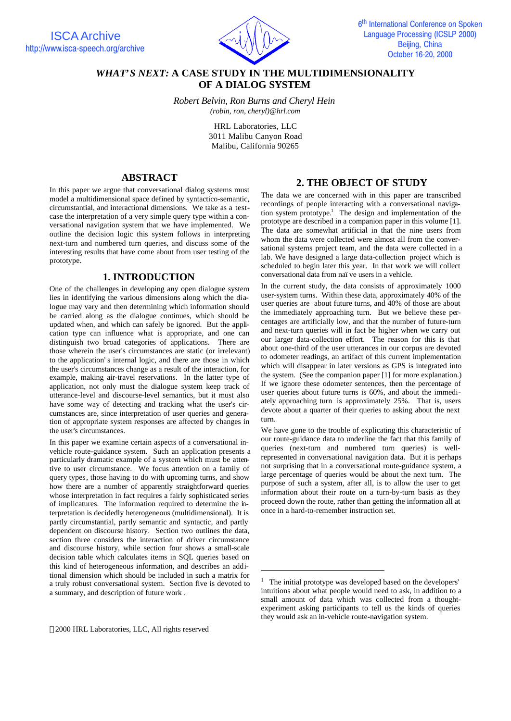

# *WHAT'S NEXT:* **A CASE STUDY IN THE MULTIDIMENSIONALITY OF A DIALOG SYSTEM**

*Robert Belvin, Ron Burns and Cheryl Hein (robin, ron, cheryl)@hrl.com*

> HRL Laboratories, LLC 3011 Malibu Canyon Road Malibu, California 90265

> > j

## **ABSTRACT**

In this paper we argue that conversational dialog systems must model a multidimensional space defined by syntactico-semantic, circumstantial, and interactional dimensions. We take as a testcase the interpretation of a very simple query type within a conversational navigation system that we have implemented. We outline the decision logic this system follows in interpreting next-turn and numbered turn queries, and discuss some of the interesting results that have come about from user testing of the prototype.

### **1. INTRODUCTION**

One of the challenges in developing any open dialogue system lies in identifying the various dimensions along which the dialogue may vary and then determining which information should be carried along as the dialogue continues, which should be updated when, and which can safely be ignored. But the application type can influence what is appropriate, and one can distinguish two broad categories of applications. There are those wherein the user's circumstances are static (or irrelevant) to the application's internal logic, and there are those in which the user's circumstances change as a result of the interaction, for example, making air-travel reservations. In the latter type of application, not only must the dialogue system keep track of utterance-level and discourse-level semantics, but it must also have some way of detecting and tracking what the user's circumstances are, since interpretation of user queries and generation of appropriate system responses are affected by changes in the user's circumstances.

In this paper we examine certain aspects of a conversational invehicle route-guidance system. Such an application presents a particularly dramatic example of a system which must be attentive to user circumstance. We focus attention on a family of query types, those having to do with upcoming turns, and show how there are a number of apparently straightforward queries whose interpretation in fact requires a fairly sophisticated series of implicatures. The information required to determine the interpretation is decidedly heterogeneous (multidimensional). It is partly circumstantial, partly semantic and syntactic, and partly dependent on discourse history. Section two outlines the data, section three considers the interaction of driver circumstance and discourse history, while section four shows a small-scale decision table which calculates items in SQL queries based on this kind of heterogeneous information, and describes an additional dimension which should be included in such a matrix for a truly robust conversational system. Section five is devoted to a summary, and description of future work .

### **2. THE OBJECT OF STUDY**

The data we are concerned with in this paper are transcribed recordings of people interacting with a conversational navigation system prototype.<sup>1</sup> The design and implementation of the prototype are described in a companion paper in this volume [1]. The data are somewhat artificial in that the nine users from whom the data were collected were almost all from the conversational systems project team, and the data were collected in a lab. We have designed a large data-collection project which is scheduled to begin later this year. In that work we will collect conversational data from naïve users in a vehicle.

In the current study, the data consists of approximately 1000 user-system turns. Within these data, approximately 40% of the user queries are about future turns, and 40% of those are about the immediately approaching turn. But we believe these percentages are artificially low, and that the number of future-turn and next-turn queries will in fact be higher when we carry out our larger data-collection effort. The reason for this is that about one-third of the user utterances in our corpus are devoted to odometer readings, an artifact of this current implementation which will disappear in later versions as GPS is integrated into the system. (See the companion paper [1] for more explanation.) If we ignore these odometer sentences, then the percentage of user queries about future turns is 60%, and about the immediately approaching turn is approximately 25%. That is, users devote about a quarter of their queries to asking about the next turn.

We have gone to the trouble of explicating this characteristic of our route-guidance data to underline the fact that this family of queries (next-turn and numbered turn queries) is wellrepresented in conversational navigation data. But it is perhaps not surprising that in a conversational route-guidance system, a large percentage of queries would be about the next turn. The purpose of such a system, after all, is to allow the user to get information about their route on a turn-by-turn basis as they proceed down the route, rather than getting the information all at once in a hard-to-remember instruction set.

2000 HRL Laboratories, LLC, All rights reserved

<sup>1</sup> The initial prototype was developed based on the developers' intuitions about what people would need to ask, in addition to a small amount of data which was collected from a thoughtexperiment asking participants to tell us the kinds of queries they would ask an in-vehicle route-navigation system.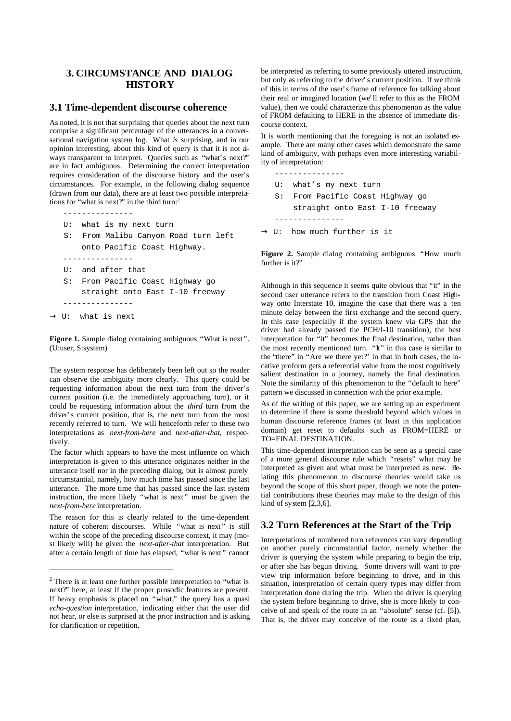# **3. CIRCUMSTANCE AND DIALOG HISTORY**

### **3.1 Time-dependent discourse coherence**

As noted, it is not that surprising that queries about the next turn comprise a significant percentage of the utterances in a conversational navigation system log. What *is* surprising, and in our opinion interesting, about this kind of query is that it is not always transparent to interpret. Queries such as "what's next?" are in fact ambiguous. Determining the correct interpretation requires consideration of the discourse history and the user's circumstances. For example, in the following dialog sequence (drawn from our data), there are at least two possible interpretations for "what is next?" in the third turn: $2$ 

 --------------- U: what is my next turn S: From Malibu Canyon Road turn left onto Pacific Coast Highway. --------------- U: and after that S: From Pacific Coast Highway go straight onto East I-10 freeway ---------------  $\rightarrow$  U: what is next

Figure 1. Sample dialog containing ambiguous "What is next". (U:user, S:system)

The system response has deliberately been left out so the reader can observe the ambiguity more clearly. This query could be requesting information about the next turn from the driver's current position (i.e. the immediately approaching turn), or it could be requesting information about the *third* turn from the driver's current position, that is, the next turn from the most recently referred to turn. We will henceforth refer to these two interpretations as *next-from-here* and *next-after-that*, respectively.

The factor which appears to have the most influence on which interpretation is given to this utterance originates neither in the utterance itself nor in the preceding dialog, but is almost purely circumstantial, namely, how much time has passed since the last utterance. The more time that has passed since the last system instruction, the more likely "what is next" must be given the *next-from-here* interpretation.

The reason for this is clearly related to the time-dependent nature of coherent discourses. While "what is next" is still within the scope of the preceding discourse context, it may (most likely will) be given the *next-after-that* interpretation. But after a certain length of time has elapsed, "what is next " cannot

j

be interpreted as referring to some previously uttered instruction, but only as referring to the driver's current position. If we think of this in terms of the user's frame of reference for talking about their real or imagined location (we'll refer to this as the FROM value), then we could characterize this phenomenon as the value of FROM defaulting to HERE in the absence of immediate discourse context.

It is worth mentioning that the foregoing is not an isolated example. There are many other cases which demonstrate the same kind of ambiguity, with perhaps even more interesting variability of interpretation:

- --------------- U: what's my next turn S: From Pacific Coast Highway go straight onto East I-10 freeway ---------------
- $\rightarrow$  II: how much further is it

Figure 2. Sample dialog containing ambiguous "How much further is it?"

Although in this sequence it seems quite obvious that "it" in the second user utterance refers to the transition from Coast Highway onto Interstate 10, imagine the case that there was a ten minute delay between the first exchange and the second query. In this case (especially if the system knew via GPS that the driver had already passed the PCH/I-10 transition), the best interpretation for "it" becomes the final destination, rather than the most recently mentioned turn. "It" in this case is similar to the "there" in "Are we there yet?" in that in both cases, the locative proform gets a referential value from the most cognitively salient destination in a journey, namely the final destination. Note the similarity of this phenomenon to the "default to here" pattern we discussed in connection with the prior exa mple.

As of the writing of this paper, we are setting up an experiment to determine if there is some threshold beyond which values in human discourse reference frames (at least in this application domain) get reset to defaults such as FROM=HERE or TO=FINAL DESTINATION.

This time-dependent interpretation can be seen as a special case of a more general discourse rule which "resets" what may be interpreted as given and what must be interpreted as new. Relating this phenomenon to discourse theories would take us beyond the scope of this short paper, though we note the potential contributions these theories may make to the design of this kind of system [2,3,6].

## **3.2 Turn References at the Start of the Trip**

Interpretations of numbered turn references can vary depending on another purely circumstantial factor, namely whether the driver is querying the system while preparing to begin the trip, or after she has begun driving. Some drivers will want to preview trip information before beginning to drive, and in this situation, interpretation of certain query types may differ from interpretation done during the trip. When the driver is querying the system before beginning to drive, she is more likely to conceive of and speak of the route in an "absolute" sense (cf. [5]). That is, the driver may conceive of the route as a fixed plan,

 $2$  There is at least one further possible interpretation to "what is next?" here, at least if the proper prosodic features are present. If heavy emphasis is placed on "what," the query has a quasi *echo-question* interpretation, indicating either that the user did not hear, or else is surprised at the prior instruction and is asking for clarification or repetition.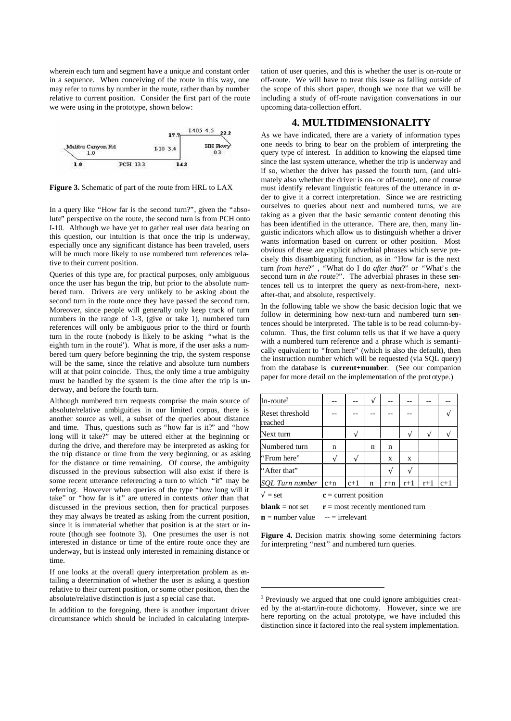wherein each turn and segment have a unique and constant order in a sequence. When conceiving of the route in this way, one may refer to turns by number in the route, rather than by number relative to current position. Consider the first part of the route we were using in the prototype, shown below:



**Figure 3.** Schematic of part of the route from HRL to LAX

In a query like "How far is the second turn?", given the "absolute" perspective on the route, the second turn is from PCH onto I-10. Although we have yet to gather real user data bearing on this question, our intuition is that once the trip is underway, especially once any significant distance has been traveled, users will be much more likely to use numbered turn references relative to their current position.

Queries of this type are, for practical purposes, only ambiguous once the user has begun the trip, but prior to the absolute numbered turn. Drivers are very unlikely to be asking about the second turn in the route once they have passed the second turn. Moreover, since people will generally only keep track of turn numbers in the range of 1-3, (give or take 1), numbered turn references will only be ambiguous prior to the third or fourth turn in the route (nobody is likely to be asking "what is the eighth turn in the route"). What is more, if the user asks a numbered turn query before beginning the trip, the system response will be the same, since the relative and absolute turn numbers will at that point coincide. Thus, the only time a true ambiguity must be handled by the system is the time after the trip is underway, and before the fourth turn.

Although numbered turn requests comprise the main source of absolute/relative ambiguities in our limited corpus, there is another source as well, a subset of the queries about distance and time. Thus, questions such as "how far is it?" and "how long will it take?" may be uttered either at the beginning or during the drive, and therefore may be interpreted as asking for the trip distance or time from the very beginning, or as asking for the distance or time remaining. Of course, the ambiguity discussed in the previous subsection will also exist if there is some recent utterance referencing a turn to which "it" may be referring. However when queries of the type "how long will it take" or "how far is it" are uttered in contexts *other* than that discussed in the previous section, then for practical purposes they may always be treated as asking from the current position, since it is immaterial whether that position is at the start or inroute (though see footnote 3). One presumes the user is not interested in distance or time of the entire route once they are underway, but is instead only interested in remaining distance or time.

If one looks at the overall query interpretation problem as entailing a determination of whether the user is asking a question relative to their current position, or some other position, then the absolute/relative distinction is just a sp ecial case that.

In addition to the foregoing, there is another important driver circumstance which should be included in calculating interpretation of user queries, and this is whether the user is on-route or off-route. We will have to treat this issue as falling outside of the scope of this short paper, though we note that we will be including a study of off-route navigation conversations in our upcoming data-collection effort.

### **4. MULTIDIMENSIONALITY**

As we have indicated, there are a variety of information types one needs to bring to bear on the problem of interpreting the query type of interest. In addition to knowing the elapsed time since the last system utterance, whether the trip is underway and if so, whether the driver has passed the fourth turn, (and ultimately also whether the driver is on- or off-route), one of course must identify relevant linguistic features of the utterance in order to give it a correct interpretation. Since we are restricting ourselves to queries about next and numbered turns, we are taking as a given that the basic semantic content denoting this has been identified in the utterance. There are, then, many linguistic indicators which allow us to distinguish whether a driver wants information based on current or other position. Most obvious of these are explicit adverbial phrases which serve precisely this disambiguating function, as in "How far is the next turn *from here*?" , "What do I do *after that*?" or "What's the second turn *in the route*?". The adverbial phrases in these sentences tell us to interpret the query as next-from-here, nextafter-that, and absolute, respectively.

In the following table we show the basic decision logic that we follow in determining how next-turn and numbered turn sentences should be interpreted. The table is to be read column-bycolumn. Thus, the first column tells us that if we have a query with a numbered turn reference and a phrase which is semantically equivalent to "from here" (which is also the default), then the instruction number which will be requested (via SQL query) from the database is **current+number**. (See our companion paper for more detail on the implementation of the prot otype.)

| In-route $3$                                                                                                                                                                                                                                                                                                                                      |   |       | ٦ |       |       |       |       |
|---------------------------------------------------------------------------------------------------------------------------------------------------------------------------------------------------------------------------------------------------------------------------------------------------------------------------------------------------|---|-------|---|-------|-------|-------|-------|
| Reset threshold<br>reached                                                                                                                                                                                                                                                                                                                        |   |       |   |       |       |       |       |
| Next turn                                                                                                                                                                                                                                                                                                                                         |   |       |   |       |       |       |       |
| Numbered turn                                                                                                                                                                                                                                                                                                                                     | n |       | n | n     |       |       |       |
| "From here"                                                                                                                                                                                                                                                                                                                                       |   |       |   | X     | X     |       |       |
| "After that"                                                                                                                                                                                                                                                                                                                                      |   |       |   |       |       |       |       |
| $SQL$ Turn number $ c+n $                                                                                                                                                                                                                                                                                                                         |   | $c+1$ | n | $r+n$ | $r+1$ | $r+1$ | $c+1$ |
| $\ddot{\mathbf{0}}$ = set<br>$c =$ current position                                                                                                                                                                                                                                                                                               |   |       |   |       |       |       |       |
| $\mathbf{1} \mathbf{1}$ , $\mathbf{1} \mathbf{1}$ , $\mathbf{1} \mathbf{1}$ , $\mathbf{1} \mathbf{1}$ , $\mathbf{1} \mathbf{1}$ , $\mathbf{1} \mathbf{1}$ , $\mathbf{1} \mathbf{1}$ , $\mathbf{1} \mathbf{1}$ , $\mathbf{1} \mathbf{1}$ , $\mathbf{1} \mathbf{1}$ , $\mathbf{1} \mathbf{1}$ , $\mathbf{1} \mathbf{1}$ , $\mathbf{1} \mathbf{1}$ , |   |       |   |       |       |       |       |

**blank** = not set  $\mathbf{r}$  = most recently mentioned turn

 $\mathbf{n}$  = number value  $\mathbf{r}$  = irrelevant

j

**Figure 4.** Decision matrix showing some determining factors for interpreting "next" and numbered turn queries.

<sup>&</sup>lt;sup>3</sup> Previously we argued that one could ignore ambiguities created by the at-start/in-route dichotomy. However, since we are here reporting on the actual prototype, we have included this distinction since it factored into the real system implementation.